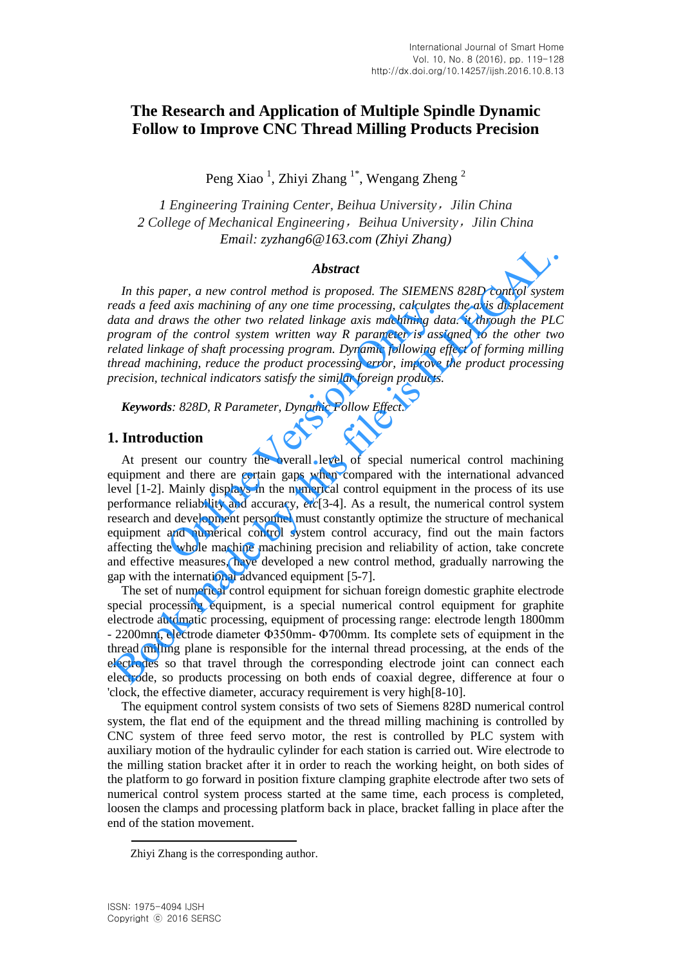# **The Research and Application of Multiple Spindle Dynamic Follow to Improve CNC Thread Milling Products Precision**

Peng Xiao<sup>1</sup>, Zhiyi Zhang<sup>1\*</sup>, Wengang Zheng<sup>2</sup>

*1 Engineering Training Center, Beihua University*,*Jilin China 2 College of Mechanical Engineering*,*Beihua University*,*Jilin China Email: [zyzhang6@163.com](mailto:zyzhang6@163.com) (Zhiyi Zhang)*

#### *Abstract*

*In this paper, a new control method is proposed. The SIEMENS 828D control system reads a feed axis machining of any one time processing, calculates the axis displacement data and draws the other two related linkage axis machining data. it through the PLC program of the control system written way R parameter is assigned to the other two related linkage of shaft processing program. Dynamic following effect of forming milling thread machining, reduce the product processing error, improve the product processing precision, technical indicators satisfy the similar foreign products.* 

*Keywords: 828D, R Parameter, Dynamic Follow Effect.* 

### **1. Introduction**

At present our country the overall level of special numerical control machining equipment and there are certain gaps when compared with the international advanced level [1-2]. Mainly displays in the numerical control equipment in the process of its use performance reliability and accuracy, *etc*[3-4]. As a result, the numerical control system research and development personnel must constantly optimize the structure of mechanical equipment and numerical control system control accuracy, find out the main factors affecting the whole machine machining precision and reliability of action, take concrete and effective measures, have developed a new control method, gradually narrowing the gap with the international advanced equipment [5-7]. *d* axis machining of any one time processing, calculate.<br>
raws the other two related linkage axis machining da<br>
<sup>f</sup> the control system written way *R* parameter is assi<br>
age of shaft processing program. Dynamic following **Abstract**<br>
In this paper, a new control method is proposed. The SIEMENS 828D control syster<br>
eads a feed axis machining of any one time processing, calculates the axis displacement<br>
atat and draws the other two related l

The set of numerical control equipment for sichuan foreign domestic graphite electrode special processing equipment, is a special numerical control equipment for graphite electrode automatic processing, equipment of processing range: electrode length 1800mm - 2200mm, electrode diameter Φ350mm- Φ700mm. Its complete sets of equipment in the thread milling plane is responsible for the internal thread processing, at the ends of the electrodes so that travel through the corresponding electrode joint can connect each electrode, so products processing on both ends of coaxial degree, difference at four o 'clock, the effective diameter, accuracy requirement is very high[8-10].

The equipment control system consists of two sets of Siemens 828D numerical control system, the flat end of the equipment and the thread milling machining is controlled by CNC system of three feed servo motor, the rest is controlled by PLC system with auxiliary motion of the hydraulic cylinder for each station is carried out. Wire electrode to the milling station bracket after it in order to reach the working height, on both sides of the platform to go forward in position fixture clamping graphite electrode after two sets of numerical control system process started at the same time, each process is completed, loosen the clamps and processing platform back in place, bracket falling in place after the end of the station movement.

l

Zhiyi Zhang is the corresponding author.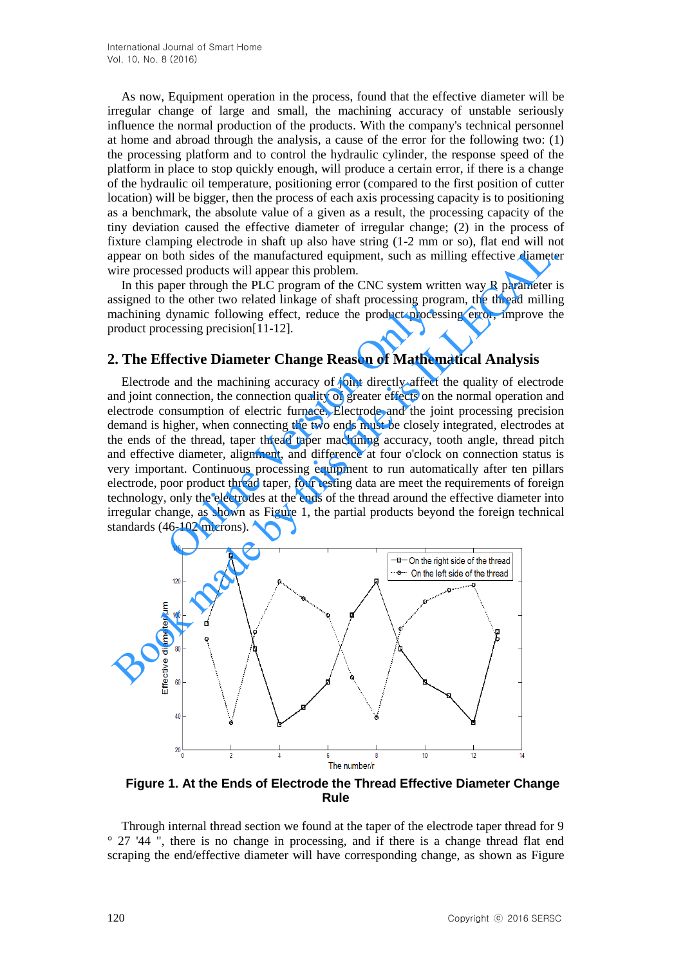As now, Equipment operation in the process, found that the effective diameter will be irregular change of large and small, the machining accuracy of unstable seriously influence the normal production of the products. With the company's technical personnel at home and abroad through the analysis, a cause of the error for the following two: (1) the processing platform and to control the hydraulic cylinder, the response speed of the platform in place to stop quickly enough, will produce a certain error, if there is a change of the hydraulic oil temperature, positioning error (compared to the first position of cutter location) will be bigger, then the process of each axis processing capacity is to positioning as a benchmark, the absolute value of a given as a result, the processing capacity of the tiny deviation caused the effective diameter of irregular change; (2) in the process of fixture clamping electrode in shaft up also have string (1-2 mm or so), flat end will not appear on both sides of the manufactured equipment, such as milling effective diameter wire processed products will appear this problem.

In this paper through the PLC program of the CNC system written way R parameter is assigned to the other two related linkage of shaft processing program, the thread milling machining dynamic following effect, reduce the product processing error, improve the product processing precision[11-12].

## **2. The Effective Diameter Change Reason of Mathematical Analysis**

Electrode and the machining accuracy of joint directly affect the quality of electrode and joint connection, the connection quality of greater effects on the normal operation and electrode consumption of electric furnace. Electrode and the joint processing precision demand is higher, when connecting the two ends must be closely integrated, electrodes at the ends of the thread, taper thread taper machining accuracy, tooth angle, thread pitch and effective diameter, alignment, and difference at four o'clock on connection status is very important. Continuous processing equipment to run automatically after ten pillars electrode, poor product thread taper, four testing data are meet the requirements of foreign technology, only the electrodes at the ends of the thread around the effective diameter into irregular change, as shown as Figure 1, the partial products beyond the foreign technical standards (46-102 microns). dynamic following effect, reduce the product processing program<br>dynamic following effect, reduce the product process<br>cessing precision[11-12].<br>**fective Diameter Change Reason of Mathem**<br>e and the machining accuracy of joi mean unity absorbed mean they also much the most much and with the partial of the mean theorem and the sixten mean the proper on both sides of the manufactured equipment, such as milling effective diameter in this paper th



**Figure 1. At the Ends of Electrode the Thread Effective Diameter Change Rule** 

Through internal thread section we found at the taper of the electrode taper thread for 9 ° 27 '44 ", there is no change in processing, and if there is a change thread flat end scraping the end/effective diameter will have corresponding change, as shown as Figure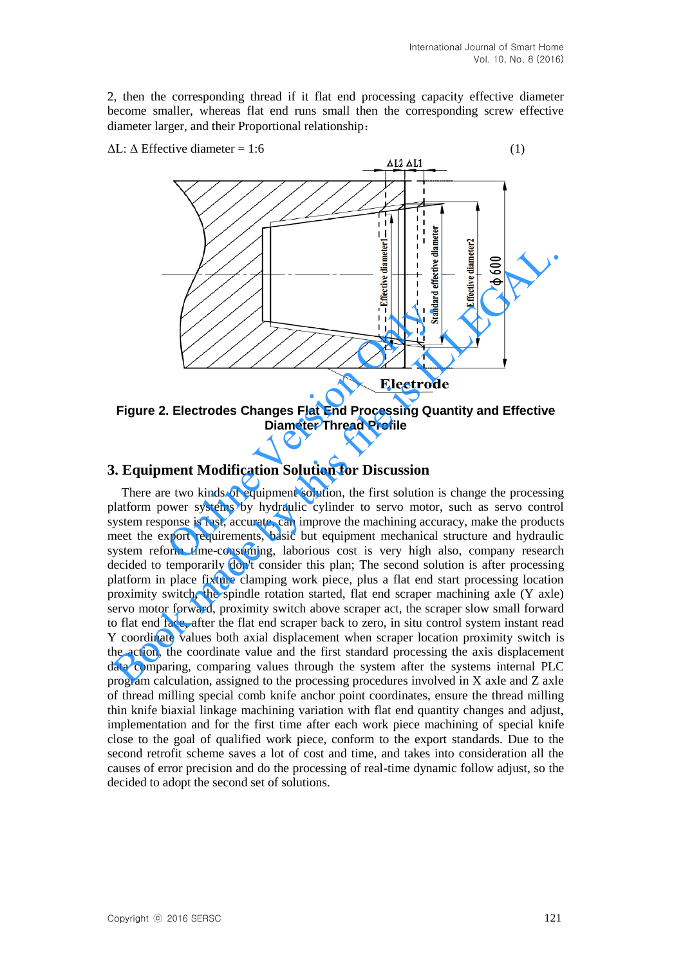2, then the corresponding thread if it flat end processing capacity effective diameter become smaller, whereas flat end runs small then the corresponding screw effective diameter larger, and their Proportional relationship:



**Figure 2. Electrodes Changes Flat End Processing Quantity and Effective Diameter Thread Profile**

## **3. Equipment Modification Solution for Discussion**

There are two kinds of equipment solution, the first solution is change the processing platform power systems by hydraulic cylinder to servo motor, such as servo control system response is fast, accurate, can improve the machining accuracy, make the products meet the export requirements, basic but equipment mechanical structure and hydraulic system reform time-consuming, laborious cost is very high also, company research decided to temporarily don't consider this plan; The second solution is after processing platform in place fixture clamping work piece, plus a flat end start processing location proximity switch, the spindle rotation started, flat end scraper machining axle (Y axle) servo motor forward, proximity switch above scraper act, the scraper slow small forward to flat end face, after the flat end scraper back to zero, in situ control system instant read Y coordinate values both axial displacement when scraper location proximity switch is the action, the coordinate value and the first standard processing the axis displacement data comparing, comparing values through the system after the systems internal PLC program calculation, assigned to the processing procedures involved in X axle and Z axle of thread milling special comb knife anchor point coordinates, ensure the thread milling thin knife biaxial linkage machining variation with flat end quantity changes and adjust, implementation and for the first time after each work piece machining of special knife close to the goal of qualified work piece, conform to the export standards. Due to the second retrofit scheme saves a lot of cost and time, and takes into consideration all the causes of error precision and do the processing of real-time dynamic follow adjust, so the decided to adopt the second set of solutions. Book made by this file is ILLEGAL.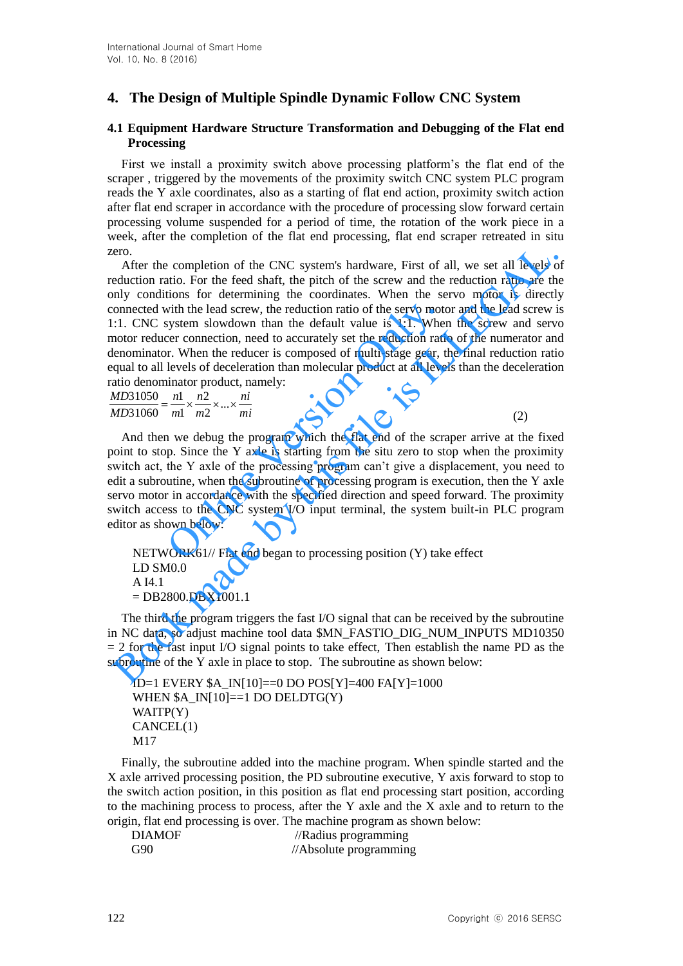## **4. The Design of Multiple Spindle Dynamic Follow CNC System**

#### **4.1 Equipment Hardware Structure Transformation and Debugging of the Flat end Processing**

First we install a proximity switch above processing platform's the flat end of the scraper , triggered by the movements of the proximity switch CNC system PLC program reads the Y axle coordinates, also as a starting of flat end action, proximity switch action after flat end scraper in accordance with the procedure of processing slow forward certain processing volume suspended for a period of time, the rotation of the work piece in a week, after the completion of the flat end processing, flat end scraper retreated in situ zero.

After the completion of the CNC system's hardware, First of all, we set all levels of reduction ratio. For the feed shaft, the pitch of the screw and the reduction ratio are the only conditions for determining the coordinates. When the servo motor is directly connected with the lead screw, the reduction ratio of the servo motor and the lead screw is 1:1. CNC system slowdown than the default value is 1:1. When the screw and servo motor reducer connection, need to accurately set the reduction ratio of the numerator and denominator. When the reducer is composed of multi-stage gear, the final reduction ratio equal to all levels of deceleration than molecular product at all levels than the deceleration ratio denominator product, namely: ero.<br>
encompletion of the CNC system's hardware, First of all, we set all levels of<br>
eduction ratio. For the feed shaft, the pitch of the screw and the reduction ratio are the<br>
eduction ratio. For determining the coordina

*mi ni m n m n MD*  $\frac{MD31050}{MD31050} = \frac{n1}{1!} \times \frac{n2}{1!} \times ... \times$ 2 2 1 1 31060 31050

(2)

And then we debug the program which the flat end of the scraper arrive at the fixed point to stop. Since the Y axle is starting from the situ zero to stop when the proximity switch act, the Y axle of the processing program can't give a displacement, you need to edit a subroutine, when the subroutine of processing program is execution, then the Y axle servo motor in accordance with the specified direction and speed forward. The proximity switch access to the CNC system I/O input terminal, the system built-in PLC program editor as shown below: with the lead screw, the reduction ratio of the servo mot<br>system slowdown than the default value is 1:1. Wherer connection, need to accurately set the reduction rati<br>r. When the reducer is composed of multi-stage gear, t<br>

NETWORK61// Flat end began to processing position (Y) take effect LD SM0.0 A I4.1  $=$  DB2800.DBX1001.1

The third the program triggers the fast I/O signal that can be received by the subroutine in NC data, so adjust machine tool data \$MN\_FASTIO\_DIG\_NUM\_INPUTS MD10350  $= 2$  for the fast input I/O signal points to take effect. Then establish the name PD as the subroutine of the Y axle in place to stop. The subroutine as shown below:

```
ID=1 EVERY $A_IN[10]==0 DO POS[Y]=400 FA[Y]=1000
WHEN A \text{IN}[10]=1 DO DELDTG(Y)
WAITP(Y)
CANCEL(1)
M17
```
Finally, the subroutine added into the machine program. When spindle started and the X axle arrived processing position, the PD subroutine executive, Y axis forward to stop to the switch action position, in this position as flat end processing start position, according to the machining process to process, after the Y axle and the X axle and to return to the origin, flat end processing is over. The machine program as shown below:

| <b>DIAMOF</b> | //Radius programming   |
|---------------|------------------------|
| G90           | //Absolute programming |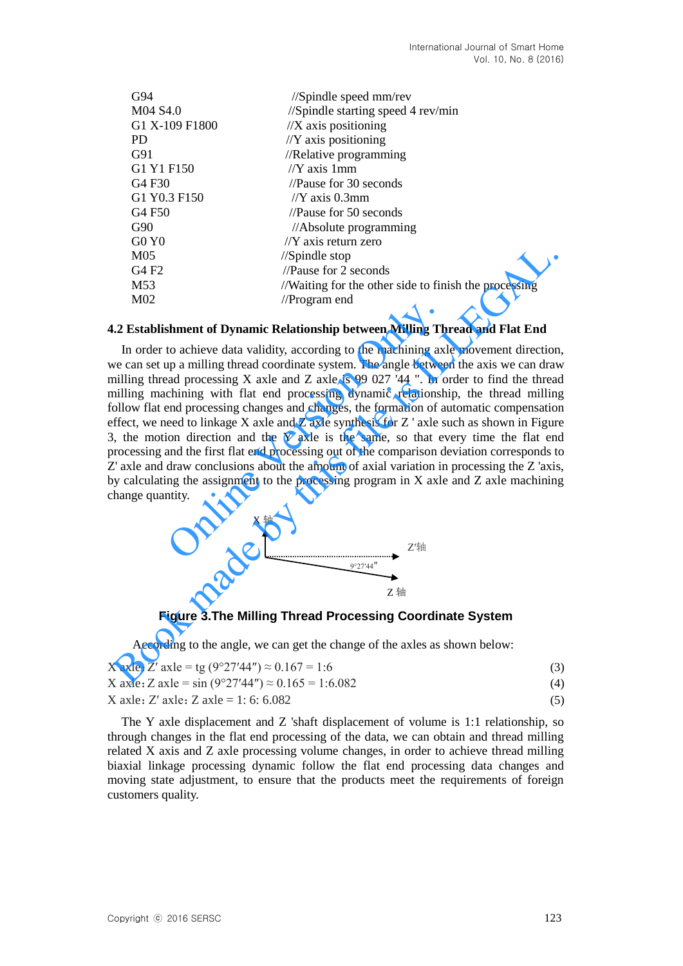| G94                            | $\frac{1}{\sqrt{2}}$ //Spindle speed mm/rev           |
|--------------------------------|-------------------------------------------------------|
| M04 S4.0                       | //Spindle starting speed 4 rev/min                    |
| G1 X-109 F1800                 | $//X$ axis positioning                                |
| PD.                            | $//Y$ axis positioning                                |
| G91                            | //Relative programming                                |
| G1 Y1 F150                     | // $Y$ axis 1 mm                                      |
| G <sub>4</sub> F <sub>30</sub> | //Pause for 30 seconds                                |
| G1 Y0.3 F150                   | // $Y$ axis 0.3mm                                     |
| G <sub>4</sub> F <sub>50</sub> | //Pause for $50$ seconds                              |
| G90                            | //Absolute programming                                |
| G0Y0                           | $/$ $\gamma$ axis return zero                         |
| M <sub>05</sub>                | $\frac{1}{\sqrt{2}}$ //Spindle stop                   |
| G4F2                           | //Pause for 2 seconds                                 |
| M <sub>53</sub>                | //Waiting for the other side to finish the processing |
| M02                            | //Program end                                         |

#### **4.2 Establishment of Dynamic Relationship between Milling Thread and Flat End**

In order to achieve data validity, according to the machining axle movement direction, we can set up a milling thread coordinate system. The angle between the axis we can draw milling thread processing X axle and Z axle is 99 027 '44 ". In order to find the thread milling machining with flat end processing dynamic relationship, the thread milling follow flat end processing changes and changes, the formation of automatic compensation effect, we need to linkage X axle and Z axle synthesis for Z ' axle such as shown in Figure 3, the motion direction and the Y axle is the same, so that every time the flat end processing and the first flat end processing out of the comparison deviation corresponds to Z' axle and draw conclusions about the amount of axial variation in processing the Z 'axis, by calculating the assignment to the processing program in X axle and Z axle machining change quantity.<br>  $X \nleftrightarrow$ change quantity. mic Relationship between Milling Th<br>alidity, according to the machining ax<br>d coordinate system. The angle betwee<br>axle and Z axle is 99 027 '44 ". In c<br>t end processing dynamic relationsh<br>anges and changes, the formation o Motor<br>
(1965 //Spindle stop<br>
(1967 //Spindle stop<br>
(1978 //News for 2 seconds<br>
MS3 //Natating for the other side to finish the processing<br>
MO2 //Program end<br>
(2 **Establishment of Dynamic Relationship between Milling Threa** 





According to the angle, we can get the change of the axles as shown below:

| X axle: Z' axle = tg $(9°27'44'') \approx 0.167 = 1.6$            |     |
|-------------------------------------------------------------------|-----|
| X axle: Z axle = $\sin(9^{\circ}27'44'') \approx 0.165 = 1:6.082$ | (4) |
| X axle: Z' axle: Z axle = 1: 6: 6.082                             | (5) |

The Y axle displacement and Z 'shaft displacement of volume is 1:1 relationship, so through changes in the flat end processing of the data, we can obtain and thread milling related X axis and Z axle processing volume changes, in order to achieve thread milling biaxial linkage processing dynamic follow the flat end processing data changes and moving state adjustment, to ensure that the products meet the requirements of foreign customers quality.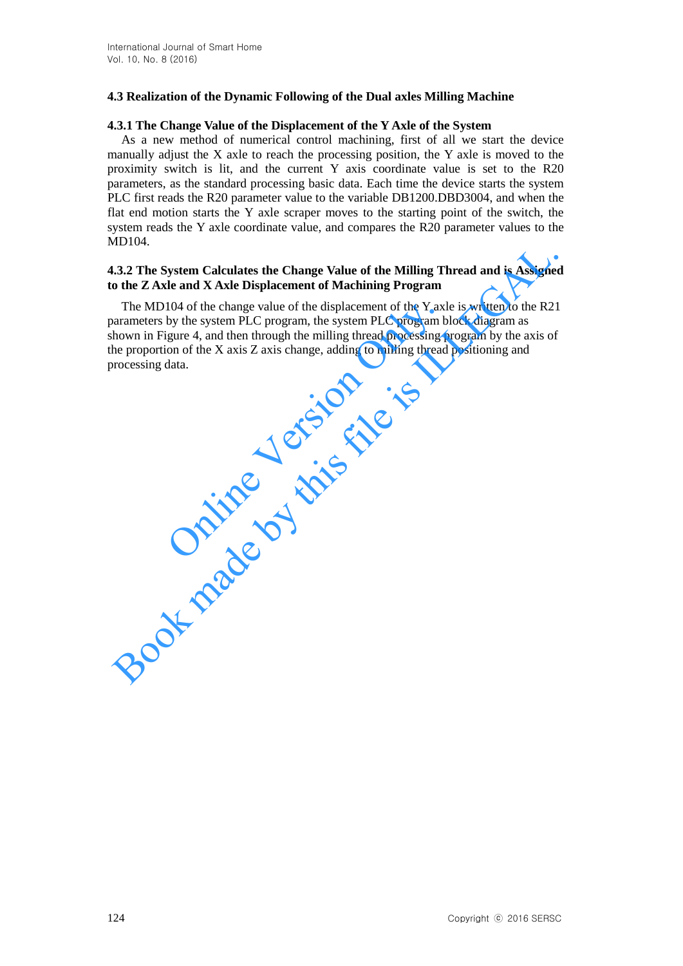## **4.3 Realization of the Dynamic Following of the Dual axles Milling Machine**

### **4.3.1 The Change Value of the Displacement of the Y Axle of the System**

As a new method of numerical control machining, first of all we start the device manually adjust the X axle to reach the processing position, the Y axle is moved to the proximity switch is lit, and the current Y axis coordinate value is set to the R20 parameters, as the standard processing basic data. Each time the device starts the system PLC first reads the R20 parameter value to the variable DB1200.DBD3004, and when the flat end motion starts the Y axle scraper moves to the starting point of the switch, the system reads the Y axle coordinate value, and compares the R20 parameter values to the MD104.

### **4.3.2 The System Calculates the Change Value of the Milling Thread and is Assigned to the Z Axle and X Axle Displacement of Machining Program**

The MD104 of the change value of the displacement of the Y axle is written to the R21 parameters by the system PLC program, the system PLC program block diagram as shown in Figure 4, and then through the milling thread processing program by the axis of the proportion of the X axis Z axis change, adding to milling thread positioning and processing data. 104 of the change value of the displacement of the Y ax.<br>by the system PLC program, the system PLC program b<br>igure 4, and then through the milling thread processing<br>on of the X axis Z axis change, adding to milling thread<br> EV. The System Calculates the Change Value of the Milling Thread and is Assignes of the ZAxle and X Axle Displacement of Machining Program<br>The MD104 of the change value of the displacement of the Y axle is written to the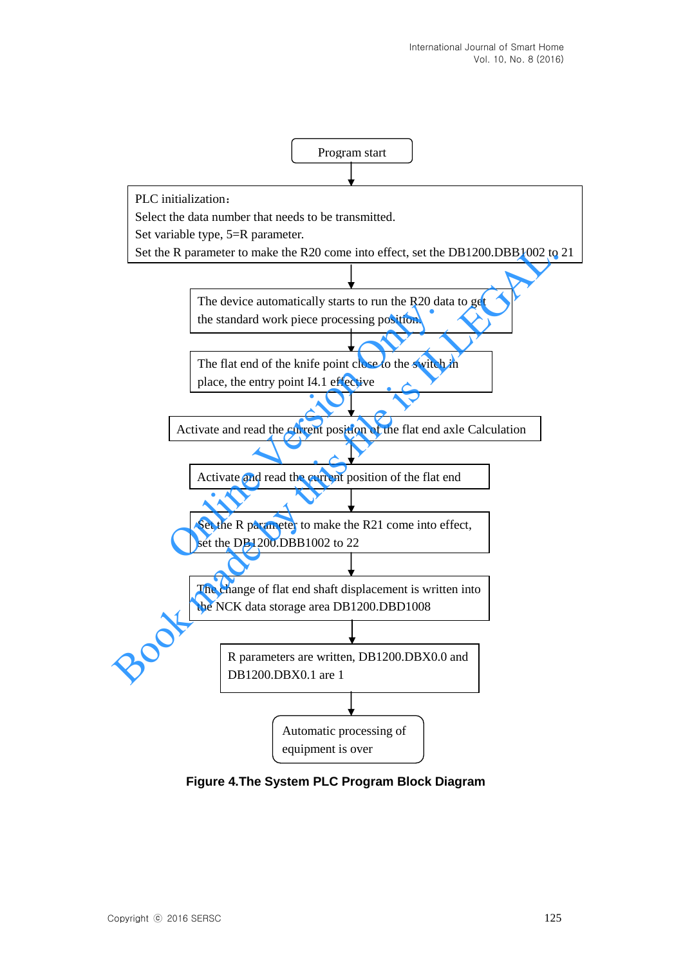

**Figure 4.The System PLC Program Block Diagram**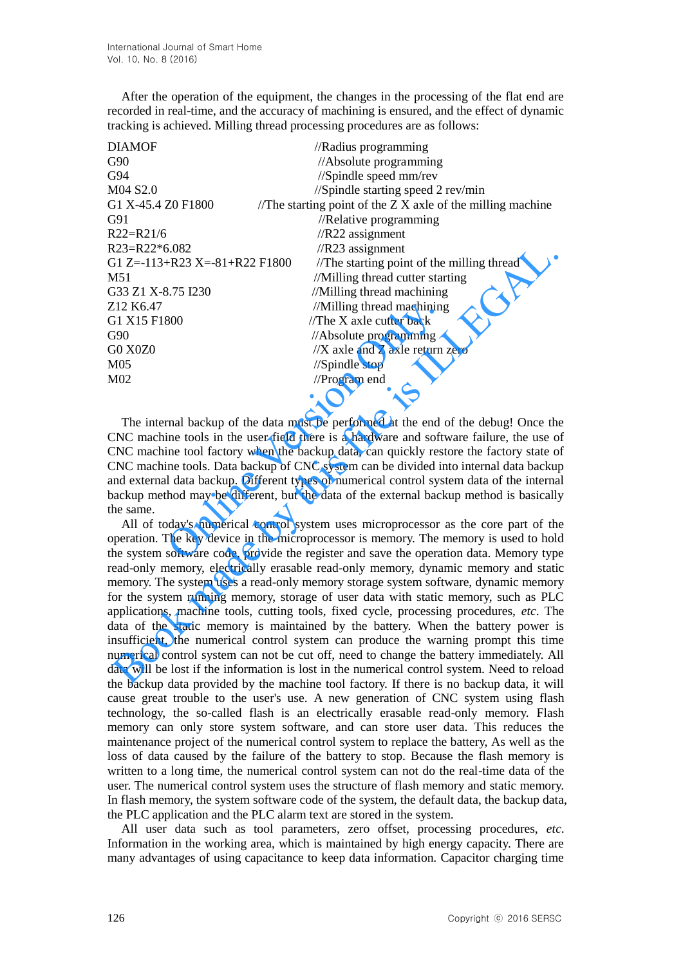After the operation of the equipment, the changes in the processing of the flat end are recorded in real-time, and the accuracy of machining is ensured, and the effect of dynamic tracking is achieved. Milling thread processing procedures are as follows:

| <b>DIAMOF</b>                      | //Radius programming                                        |
|------------------------------------|-------------------------------------------------------------|
| G90                                | //Absolute programming                                      |
| G94                                | //Spindle speed mm/rev                                      |
| M04 S2.0                           | //Spindle starting speed 2 rev/min                          |
| G1 X-45.4 Z0 F1800                 | /The starting point of the $ZX$ axle of the milling machine |
| G91                                | //Relative programming                                      |
| $R22=R21/6$                        | $//R22$ assignment                                          |
| $R23=R22*6.082$                    | $//R23$ assignment                                          |
| G1 Z=-113+R23 X=-81+R22 F1800      | //The starting point of the milling thread                  |
| M51                                | //Milling thread cutter starting                            |
| G33 Z1 X-8.75 I230                 | //Milling thread machining                                  |
| Z <sub>12</sub> K <sub>6</sub> .47 | //Milling thread machining                                  |
| G1 X15 F1800                       | //The $X$ axle cutter back                                  |
| G90                                | //Absolute programming                                      |
| <b>G0 X0Z0</b>                     | $\frac{1}{X}$ axle and Z axle return zero                   |
| M <sub>05</sub>                    | $\frac{1}{2}$ Spindle stop                                  |
| M <sub>02</sub>                    | $//$ Program end                                            |
|                                    |                                                             |

The internal backup of the data must be performed at the end of the debug! Once the CNC machine tools in the user field there is a hardware and software failure, the use of CNC machine tool factory when the backup data, can quickly restore the factory state of CNC machine tools. Data backup of CNC system can be divided into internal data backup and external data backup. Different types of numerical control system data of the internal backup method may be different, but the data of the external backup method is basically the same. Milling thread machining<br>  $\frac{1}{1}$  /The X axle cutter back<br>  $\frac{1}{2}$  /Absolute programming<br>  $\frac{1}{2}$  /X axle and Z axle return<br>  $\frac{1}{2}$  /Spindle stop<br>  $\frac{1}{2}$  /Program end<br>
rmal backup of the data must be performed

All of today's numerical control system uses microprocessor as the core part of the operation. The key device in the microprocessor is memory. The memory is used to hold the system software code, provide the register and save the operation data. Memory type read-only memory, electrically erasable read-only memory, dynamic memory and static memory. The system uses a read-only memory storage system software, dynamic memory for the system running memory, storage of user data with static memory, such as PLC applications, machine tools, cutting tools, fixed cycle, processing procedures, *etc*. The data of the static memory is maintained by the battery. When the battery power is insufficient, the numerical control system can produce the warning prompt this time numerical control system can not be cut off, need to change the battery immediately. All data will be lost if the information is lost in the numerical control system. Need to reload the backup data provided by the machine tool factory. If there is no backup data, it will cause great trouble to the user's use. A new generation of CNC system using flash technology, the so-called flash is an electrically erasable read-only memory. Flash memory can only store system software, and can store user data. This reduces the maintenance project of the numerical control system to replace the battery, As well as the loss of data caused by the failure of the battery to stop. Because the flash memory is written to a long time, the numerical control system can not do the real-time data of the user. The numerical control system uses the structure of flash memory and static memory. In flash memory, the system software code of the system, the default data, the backup data, the PLC application and the PLC alarm text are stored in the system. 233 = R22\*6.082<br>
E122=16802 <br>
E122=1151 R23 x=81+R22 F1800 //The starting point of the milling thread<br>
151 Z1 x-8.75 1230 //Milling thread cuter starting<br>
151 X1-8.15 123 0 //Milling thread machining<br>
172 21 K6.47 //Milli

All user data such as tool parameters, zero offset, processing procedures, *etc*. Information in the working area, which is maintained by high energy capacity. There are many advantages of using capacitance to keep data information. Capacitor charging time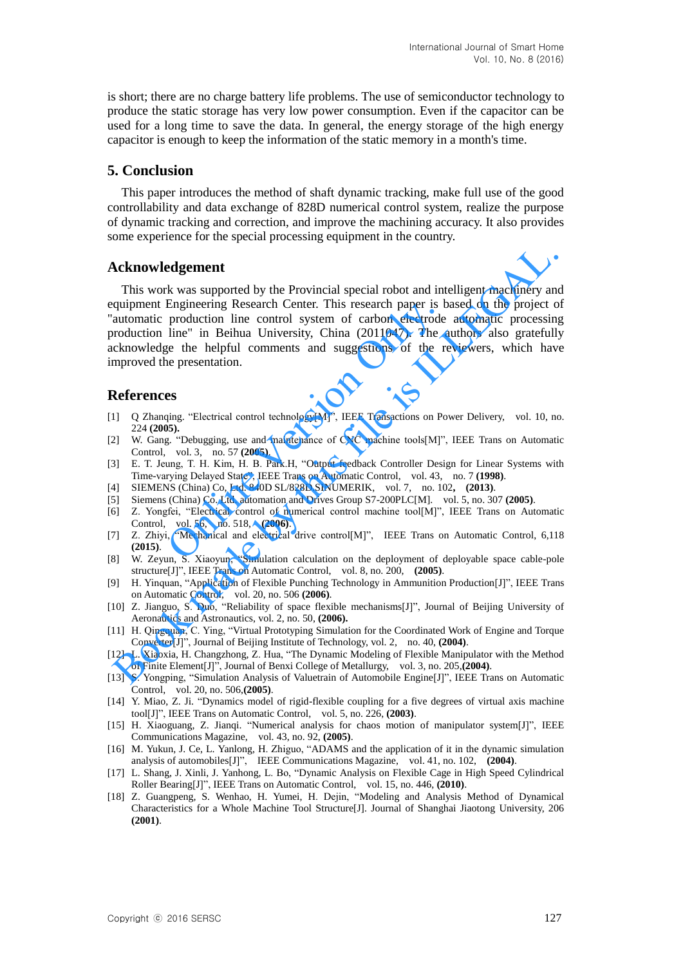is short; there are no charge battery life problems. The use of semiconductor technology to produce the static storage has very low power consumption. Even if the capacitor can be used for a long time to save the data. In general, the energy storage of the high energy capacitor is enough to keep the information of the static memory in a month's time.

## **5. Conclusion**

This paper introduces the method of shaft dynamic tracking, make full use of the good controllability and data exchange of 828D numerical control system, realize the purpose of dynamic tracking and correction, and improve the machining accuracy. It also provides some experience for the special processing equipment in the country.

### **Acknowledgement**

This work was supported by the Provincial special robot and intelligent machinery and equipment Engineering Research Center. This research paper is based on the project of "automatic production line control system of carbon electrode automatic processing production line" in Beihua University, China (2011047). The authors also gratefully acknowledge the helpful comments and suggestions of the reviewers, which have improved the presentation. Engineering Research Center. This research paper is t<br>production line control system of carbon electrode<br>line" in Beihua University, China (2011047). The a<br>ge the helpful comments and suggestions of the r<br>ne presentation. **Acknowledgement**<br>
This work was supported by the Provincial special robot and intelligent machinery an<br>
quipment Engineering Research Center. This research paper is based on the project ca<br>
quipment Engineering Research

## **References**

- [1] Q Zhanqing. "Electrical control technology[M]", IEEE Transactions on Power Delivery, vol. 10, no. 224 **(2005).**
- [2] W. Gang. "Debugging, use and maintenance of CNC machine tools[M]", IEEE Trans on Automatic Control, vol. 3, no. 57 **(2005)**.
- [3] E. T. Jeung, T. H. Kim, H. B. Park.H, "Output feedback Controller Design for Linear Systems with Time-varying Delayed State", IEEE Trans on Automatic Control, vol. 43, no. 7 **(1998)**.
- [4] SIEMENS (China) Co, Ltd. 840D SL/828D.SINUMERIK, vol. 7, no. 102**, (2013)**.
- [5] Siemens (China) Co. Ltd. automation and Drives Group S7-200PLC[M]. vol. 5, no. 307 **(2005)**.
- [6] Z. Yongfei, "Electrical control of numerical control machine tool[M]", IEEE Trans on Automatic Control, vol. 56, no. 518, **(2006)**.
- [7] Z. Zhiyi, "Mechanical and electrical drive control[M]", IEEE Trans on Automatic Control, 6,118 **(2015)**.
- [8] W. Zeyun, S. Xiaoyun, "Simulation calculation on the deployment of deployable space cable-pole structure[J]", IEEE Trans on Automatic Control, vol. 8, no. 200, **(2005)**.
- [9] H. Yinquan, "Application of Flexible Punching Technology in Ammunition Production[J]", IEEE Trans on Automatic Control, vol. 20, no. 506 **(2006)**.
- [10] Z. Jianguo, S. Duo, "Reliability of space flexible mechanisms[J]", Journal of Beijing University of Aeronautics and Astronautics, vol. 2, no. 50, **(2006).**
- [11] H. Qingquan, C. Ying, "Virtual Prototyping Simulation for the Coordinated Work of Engine and Torque Converter[J]", Journal of Beijing Institute of Technology, vol. 2, no. 40, **(2004)**.
- [12] L. Xiaoxia, H. Changzhong, Z. Hua, "The Dynamic Modeling of Flexible Manipulator with the Method of Finite Element[J]", Journal of Benxi College of Metallurgy, vol. 3, no. 205,**(2004)**.
- [13] S. Yongping, "Simulation Analysis of Valuetrain of Automobile Engine[J]", IEEE Trans on Automatic Control, vol. 20, no. 506,**(2005)**.
- [14] Y. Miao, Z. Ji. "Dynamics model of rigid-flexible coupling for a five degrees of virtual axis machine tool[J]", IEEE Trans on Automatic Control, vol. 5, no. 226, **(2003)**.
- [15] H. Xiaoguang, Z. Jianqi. ["Numerical analysis for chaos motion of manipulator system\[](http://en.cnki.com.cn/Article_en/CJFDTOTAL-CDXB200502003.htm)J]", IEEE Communications Magazine, vol. 43, no. 92, **(2005)**.
- [16] M. Yukun, J. Ce, L. Yanlong, H. Zhiguo, "ADAMS and the application of it in the dynamic simulation analysis of automobiles[J]", IEEE Communications Magazine, vol. 41, no. 102, **(2004)**.
- [17] L. Shang, J. Xinli, J. Yanhong, L. Bo, ["Dynamic Analysis on Flexible Cage in High Speed Cylindrical](http://en.cnki.com.cn/Article_en/CJFDTOTAL-CUCW201007002.htm)  [Roller Bearing\[](http://en.cnki.com.cn/Article_en/CJFDTOTAL-CUCW201007002.htm)J]", IEEE Trans on Automatic Control, vol. 15, no. 446, **(2010)**.
- [18] Z. Guangpeng, S. Wenhao, H. Yumei, H. Dejin, ["Modeling and Analysis Method of Dynamical](http://en.cnki.com.cn/Article_en/CJFDTOTAL-SHJT200112017.htm)  Characteristics for [a Whole Machine Tool Structure\[](http://en.cnki.com.cn/Article_en/CJFDTOTAL-SHJT200112017.htm)J]. Journal of Shanghai Jiaotong University, 206 **(2001)**.